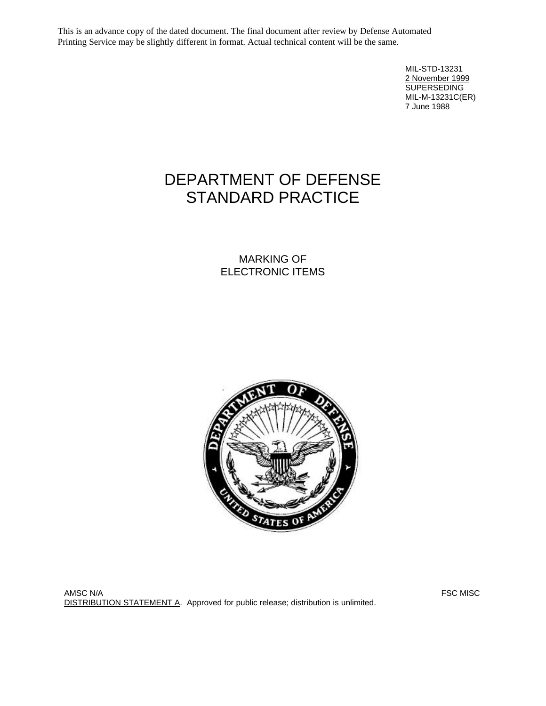This is an advance copy of the dated document. The final document after review by Defense Automated Printing Service may be slightly different in format. Actual technical content will be the same.

> MIL-STD-13231 2 November 1999 **SUPERSEDING** MIL-M-13231C(ER) 7 June 1988

# DEPARTMENT OF DEFENSE STANDARD PRACTICE

MARKING OF ELECTRONIC ITEMS



AMSC N/A FSC MISC NOT RELEASED AND RELEASED AT A RELEASED AND RELEASED AT A RELEASED AND RELEASED AT A RELEASE DISTRIBUTION STATEMENT A. Approved for public release; distribution is unlimited.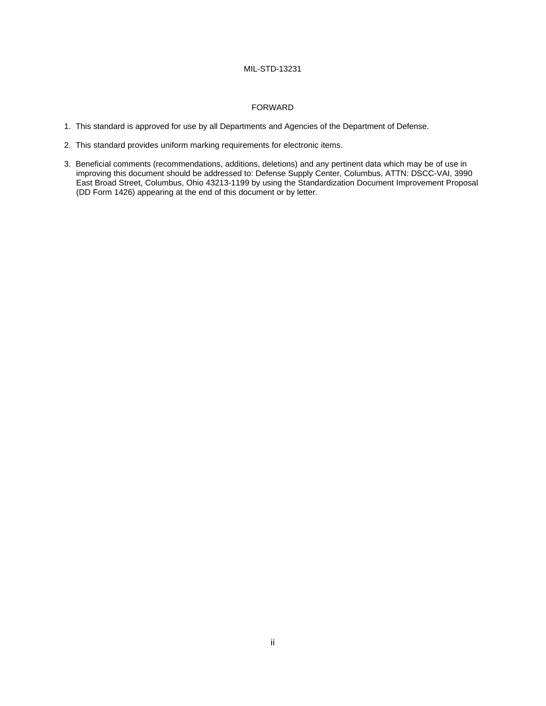#### FORWARD

- 1. This standard is approved for use by all Departments and Agencies of the Department of Defense.
- 2. This standard provides uniform marking requirements for electronic items.
- 3. Beneficial comments (recommendations, additions, deletions) and any pertinent data which may be of use in improving this document should be addressed to: Defense Supply Center, Columbus, ATTN: DSCC-VAI, 3990 East Broad Street, Columbus, Ohio 43213-1199 by using the Standardization Document Improvement Proposal (DD Form 1426) appearing at the end of this document or by letter.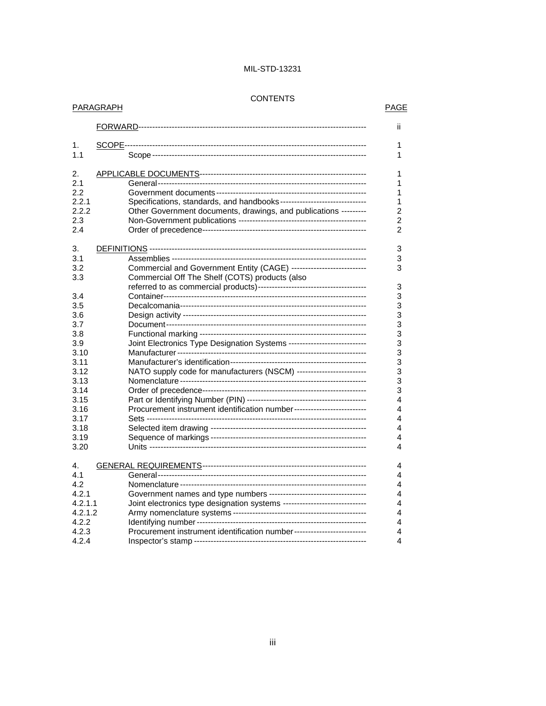#### **CONTENTS**

### PARAGRAPH PARAGRAPH

|                                                                                                                   | ii                                                                                                                                                                                                                                                                                                                                                    |
|-------------------------------------------------------------------------------------------------------------------|-------------------------------------------------------------------------------------------------------------------------------------------------------------------------------------------------------------------------------------------------------------------------------------------------------------------------------------------------------|
| 1.<br>1.1                                                                                                         | 1<br>1                                                                                                                                                                                                                                                                                                                                                |
| 2.<br>2.1<br>2.2<br>2.2.1<br>2.2.2<br>2.3<br>2.4                                                                  | 1<br>1<br>1<br>Specifications, standards, and handbooks-------------------------------<br>1<br>Other Government documents, drawings, and publications ---------<br>2<br>$\overline{2}$<br>$\overline{2}$                                                                                                                                              |
| 3.<br>3.1<br>3.2<br>3.3<br>3.4<br>3.5<br>3.6<br>3.7<br>3.8<br>3.9<br>3.10<br>3.11<br>3.12<br>3.13<br>3.14<br>3.15 | 3<br>3<br>Commercial and Government Entity (CAGE) --------------------------<br>3<br>Commercial Off The Shelf (COTS) products (also<br>3<br>3<br>3<br>3<br>3<br>3<br>Joint Electronics Type Designation Systems ---------------------------<br>3<br>3<br>3<br>NATO supply code for manufacturers (NSCM) -------------------------<br>3<br>3<br>3<br>4 |
| 3.16<br>3.17<br>3.18<br>3.19<br>3.20                                                                              | Procurement instrument identification number--------------------------<br>4<br>4<br>4<br>4<br>4                                                                                                                                                                                                                                                       |
| 4.<br>4.1<br>4.2<br>4.2.1<br>4.2.1.1<br>4.2.1.2<br>4.2.2<br>4.2.3                                                 | 4<br>4<br>4<br>Government names and type numbers -----------------------------------<br>4<br>Joint electronics type designation systems ------------------------------<br>4<br>4<br>4<br>Procurement instrument identification number--------------------------<br>4                                                                                  |
| 4.2.4                                                                                                             | 4                                                                                                                                                                                                                                                                                                                                                     |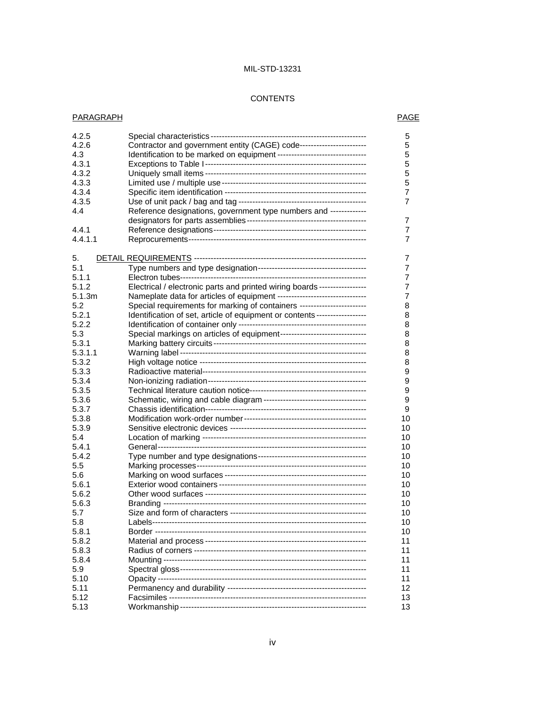#### **CONTENTS**

### PARAGRAPH PARAGRAPH

| 4.2.5          |                                                                            | 5              |
|----------------|----------------------------------------------------------------------------|----------------|
| 4.2.6          | Contractor and government entity (CAGE) code-----------------------        | 5              |
| 4.3            | Identification to be marked on equipment --------------------------------  | 5              |
| 4.3.1          |                                                                            | 5              |
| 4.3.2          |                                                                            | 5              |
| 4.3.3          |                                                                            | 5              |
| 4.3.4          |                                                                            | 7              |
| 4.3.5          |                                                                            | 7              |
| 4.4            | Reference designations, government type numbers and -------------          |                |
|                |                                                                            | 7              |
| 4.4.1          |                                                                            | $\overline{7}$ |
| 4.4.1.1        |                                                                            | 7              |
|                |                                                                            |                |
| 5.             |                                                                            | 7              |
| 5.1            |                                                                            | 7              |
| 5.1.1          |                                                                            | 7              |
| 5.1.2          | Electrical / electronic parts and printed wiring boards -----------------  | 7              |
| 5.1.3m         | Nameplate data for articles of equipment --------------------------------  | 7              |
| 5.2            | Special requirements for marking of containers ------------------------    | 8              |
| 5.2.1          | Identification of set, article of equipment or contents ------------------ | 8              |
| 5.2.2          |                                                                            | 8              |
| 5.3            | Special markings on articles of equipment-------------------------------   | 8              |
| 5.3.1          |                                                                            | 8              |
| 5.3.1.1        |                                                                            | 8              |
| 5.3.2          |                                                                            | 8              |
| 5.3.3          |                                                                            | 9              |
| 5.3.4          |                                                                            | 9              |
| 5.3.5          |                                                                            | 9              |
| 5.3.6          |                                                                            | 9              |
| 5.3.7          |                                                                            | 9              |
| 5.3.8          |                                                                            | 10             |
| 5.3.9          |                                                                            | 10             |
| 5.4            |                                                                            | 10             |
| 5.4.1          |                                                                            | 10             |
| 5.4.2          |                                                                            | 10             |
| 5.5            |                                                                            | 10             |
| 5.6            |                                                                            | 10             |
| 5.6.1          |                                                                            | 10             |
| 5.6.2          |                                                                            | 10             |
| 5.6.3          |                                                                            | 10             |
|                |                                                                            | 10             |
| 5.7<br>5.8     |                                                                            | 10             |
|                |                                                                            | 10             |
| 5.8.1          |                                                                            |                |
| 5.8.2<br>5.8.3 |                                                                            | 11             |
|                |                                                                            | 11             |
| 5.8.4          |                                                                            | 11             |
| 5.9            |                                                                            | 11             |
| 5.10           |                                                                            | 11             |
| 5.11           |                                                                            | 12             |
| 5.12           |                                                                            | 13             |
| 5.13           |                                                                            | 13             |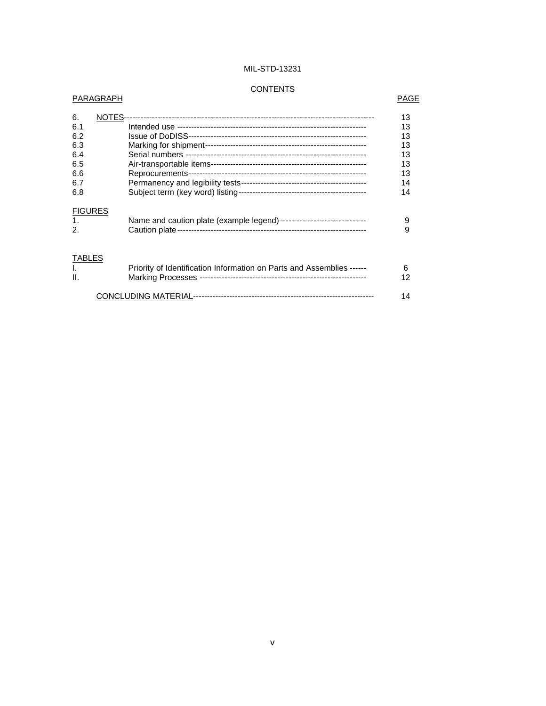### **CONTENTS**

#### PARAGRAPH PARAGRAPH

| NOTES--        | 13                                                                    |
|----------------|-----------------------------------------------------------------------|
|                | 13                                                                    |
|                | 13                                                                    |
|                | 13                                                                    |
|                | 13                                                                    |
|                | 13                                                                    |
|                | 13                                                                    |
|                | 14                                                                    |
|                | 14                                                                    |
| <b>FIGURES</b> |                                                                       |
|                | 9                                                                     |
|                | 9                                                                     |
| <b>TABLES</b>  |                                                                       |
|                | 6                                                                     |
|                | 12                                                                    |
|                | 14                                                                    |
|                | Priority of Identification Information on Parts and Assemblies ------ |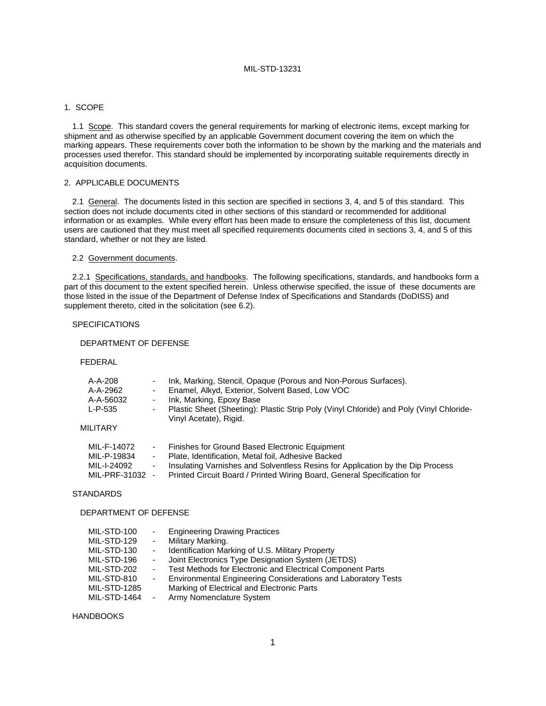#### 1. SCOPE

1.1 Scope. This standard covers the general requirements for marking of electronic items, except marking for shipment and as otherwise specified by an applicable Government document covering the item on which the marking appears. These requirements cover both the information to be shown by the marking and the materials and processes used therefor. This standard should be implemented by incorporating suitable requirements directly in acquisition documents.

#### 2. APPLICABLE DOCUMENTS

2.1 General. The documents listed in this section are specified in sections 3, 4, and 5 of this standard. This section does not include documents cited in other sections of this standard or recommended for additional information or as examples. While every effort has been made to ensure the completeness of this list, document users are cautioned that they must meet all specified requirements documents cited in sections 3, 4, and 5 of this standard, whether or not they are listed.

#### 2.2 Government documents.

2.2.1 Specifications, standards, and handbooks. The following specifications, standards, and handbooks form a part of this document to the extent specified herein. Unless otherwise specified, the issue of these documents are those listed in the issue of the Department of Defense Index of Specifications and Standards (DoDISS) and supplement thereto, cited in the solicitation (see 6.2).

#### SPECIFICATIONS

#### DEPARTMENT OF DEFENSE

FEDERAL

| $A-A-208$       |                          | Ink, Marking, Stencil, Opaque (Porous and Non-Porous Surfaces).                                                   |
|-----------------|--------------------------|-------------------------------------------------------------------------------------------------------------------|
| A-A-2962        | ۰.                       | Enamel, Alkyd, Exterior, Solvent Based, Low VOC                                                                   |
| A-A-56032       | ۰.                       | Ink, Marking, Epoxy Base                                                                                          |
| L-P-535         | ۰.                       | Plastic Sheet (Sheeting): Plastic Strip Poly (Vinyl Chloride) and Poly (Vinyl Chloride-<br>Vinyl Acetate), Rigid. |
| MILITARY        |                          |                                                                                                                   |
| MIL-F-14072     | $\sim$                   | Finishes for Ground Based Electronic Equipment                                                                    |
| MIL-P-19834     | $\sim$                   | Plate, Identification, Metal foil, Adhesive Backed                                                                |
| MIL-I-24092     | $\overline{\phantom{0}}$ | Insulating Varnishes and Solventless Resins for Application by the Dip Process                                    |
| MIL-PRF-31032 - |                          | Printed Circuit Board / Printed Wiring Board, General Specification for                                           |
|                 |                          |                                                                                                                   |

#### **STANDARDS**

#### DEPARTMENT OF DEFENSE

| MIL-STD-100<br>MIL-STD-129<br>MIL-STD-130<br>MIL-STD-196 | $\sim 100$<br>$\blacksquare$<br>$\sim 100$ | <b>Engineering Drawing Practices</b><br>Military Marking.<br>Identification Marking of U.S. Military Property<br>- Joint Electronics Type Designation System (JETDS)      |
|----------------------------------------------------------|--------------------------------------------|---------------------------------------------------------------------------------------------------------------------------------------------------------------------------|
| MIL-STD-202<br>MIL-STD-810<br><b>MIL-STD-1285</b>        | $\sim 100$<br>$\sim 100$                   | Test Methods for Electronic and Electrical Component Parts<br>Environmental Engineering Considerations and Laboratory Tests<br>Marking of Electrical and Electronic Parts |
| MIL-STD-1464                                             | $\blacksquare$                             | Army Nomenclature System                                                                                                                                                  |

HANDBOOKS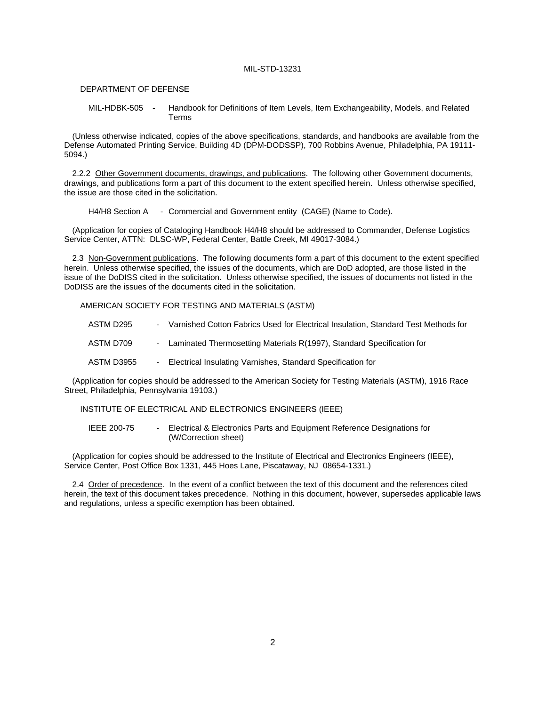#### DEPARTMENT OF DEFENSE

MIL-HDBK-505 - Handbook for Definitions of Item Levels, Item Exchangeability, Models, and Related Terms

(Unless otherwise indicated, copies of the above specifications, standards, and handbooks are available from the Defense Automated Printing Service, Building 4D (DPM-DODSSP), 700 Robbins Avenue, Philadelphia, PA 19111- 5094.)

2.2.2 Other Government documents, drawings, and publications. The following other Government documents, drawings, and publications form a part of this document to the extent specified herein. Unless otherwise specified, the issue are those cited in the solicitation.

H4/H8 Section A - Commercial and Government entity (CAGE) (Name to Code).

(Application for copies of Cataloging Handbook H4/H8 should be addressed to Commander, Defense Logistics Service Center, ATTN: DLSC-WP, Federal Center, Battle Creek, MI 49017-3084.)

2.3 Non-Government publications. The following documents form a part of this document to the extent specified herein. Unless otherwise specified, the issues of the documents, which are DoD adopted, are those listed in the issue of the DoDISS cited in the solicitation. Unless otherwise specified, the issues of documents not listed in the DoDISS are the issues of the documents cited in the solicitation.

AMERICAN SOCIETY FOR TESTING AND MATERIALS (ASTM)

ASTM D295 - Varnished Cotton Fabrics Used for Electrical Insulation, Standard Test Methods for

- ASTM D709 Laminated Thermosetting Materials R(1997), Standard Specification for
- ASTM D3955 Electrical Insulating Varnishes, Standard Specification for

(Application for copies should be addressed to the American Society for Testing Materials (ASTM), 1916 Race Street, Philadelphia, Pennsylvania 19103.)

INSTITUTE OF ELECTRICAL AND ELECTRONICS ENGINEERS (IEEE)

IEEE 200-75 - Electrical & Electronics Parts and Equipment Reference Designations for (W/Correction sheet)

(Application for copies should be addressed to the Institute of Electrical and Electronics Engineers (IEEE), Service Center, Post Office Box 1331, 445 Hoes Lane, Piscataway, NJ 08654-1331.)

2.4 Order of precedence. In the event of a conflict between the text of this document and the references cited herein, the text of this document takes precedence. Nothing in this document, however, supersedes applicable laws and regulations, unless a specific exemption has been obtained.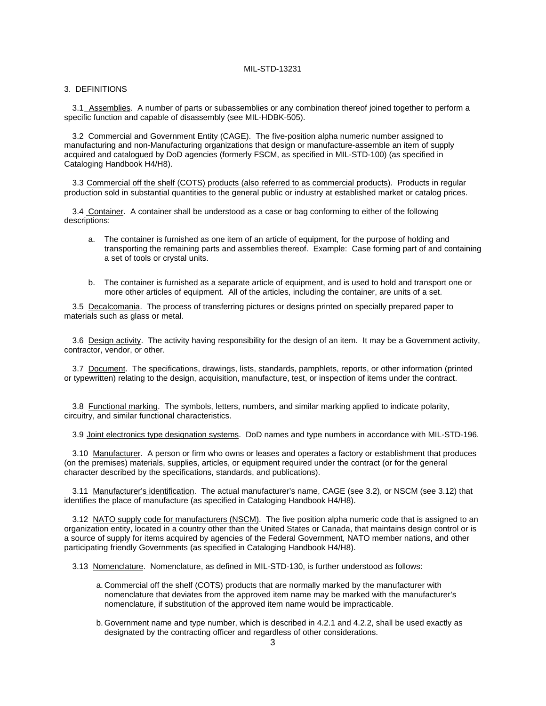#### 3. DEFINITIONS

3.1 Assemblies. A number of parts or subassemblies or any combination thereof joined together to perform a specific function and capable of disassembly (see MIL-HDBK-505).

3.2 Commercial and Government Entity (CAGE). The five-position alpha numeric number assigned to manufacturing and non-Manufacturing organizations that design or manufacture-assemble an item of supply acquired and catalogued by DoD agencies (formerly FSCM, as specified in MIL-STD-100) (as specified in Cataloging Handbook H4/H8).

3.3 Commercial off the shelf (COTS) products (also referred to as commercial products). Products in regular production sold in substantial quantities to the general public or industry at established market or catalog prices.

3.4 Container. A container shall be understood as a case or bag conforming to either of the following descriptions:

- a. The container is furnished as one item of an article of equipment, for the purpose of holding and transporting the remaining parts and assemblies thereof. Example: Case forming part of and containing a set of tools or crystal units.
- b. The container is furnished as a separate article of equipment, and is used to hold and transport one or more other articles of equipment. All of the articles, including the container, are units of a set.

3.5 Decalcomania. The process of transferring pictures or designs printed on specially prepared paper to materials such as glass or metal.

3.6 Design activity. The activity having responsibility for the design of an item. It may be a Government activity, contractor, vendor, or other.

3.7 Document. The specifications, drawings, lists, standards, pamphlets, reports, or other information (printed or typewritten) relating to the design, acquisition, manufacture, test, or inspection of items under the contract.

3.8 Functional marking. The symbols, letters, numbers, and similar marking applied to indicate polarity, circuitry, and similar functional characteristics.

3.9 Joint electronics type designation systems. DoD names and type numbers in accordance with MIL-STD-196.

3.10 Manufacturer. A person or firm who owns or leases and operates a factory or establishment that produces (on the premises) materials, supplies, articles, or equipment required under the contract (or for the general character described by the specifications, standards, and publications).

3.11 Manufacturer's identification. The actual manufacturer's name, CAGE (see 3.2), or NSCM (see 3.12) that identifies the place of manufacture (as specified in Cataloging Handbook H4/H8).

3.12 NATO supply code for manufacturers (NSCM). The five position alpha numeric code that is assigned to an organization entity, located in a country other than the United States or Canada, that maintains design control or is a source of supply for items acquired by agencies of the Federal Government, NATO member nations, and other participating friendly Governments (as specified in Cataloging Handbook H4/H8).

3.13 Nomenclature. Nomenclature, as defined in MIL-STD-130, is further understood as follows:

- a. Commercial off the shelf (COTS) products that are normally marked by the manufacturer with nomenclature that deviates from the approved item name may be marked with the manufacturer's nomenclature, if substitution of the approved item name would be impracticable.
- b. Government name and type number, which is described in 4.2.1 and 4.2.2, shall be used exactly as designated by the contracting officer and regardless of other considerations.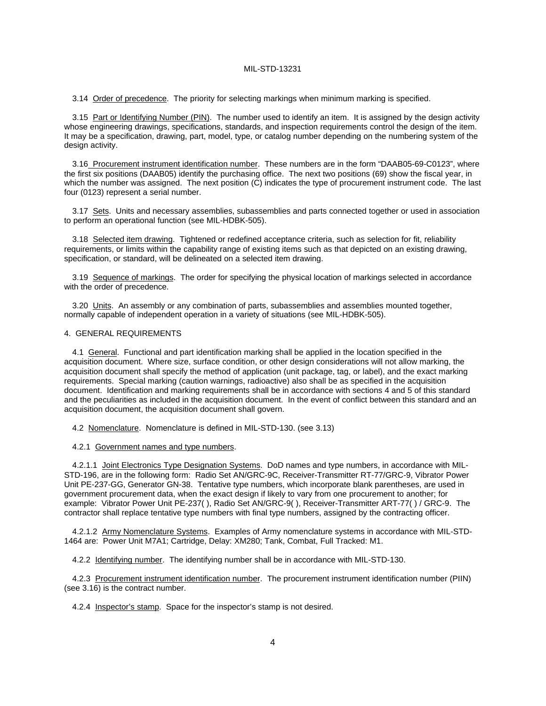3.14 Order of precedence. The priority for selecting markings when minimum marking is specified.

3.15 Part or Identifying Number (PIN). The number used to identify an item. It is assigned by the design activity whose engineering drawings, specifications, standards, and inspection requirements control the design of the item. It may be a specification, drawing, part, model, type, or catalog number depending on the numbering system of the design activity.

3.16 Procurement instrument identification number. These numbers are in the form "DAAB05-69-C0123", where the first six positions (DAAB05) identify the purchasing office. The next two positions (69) show the fiscal year, in which the number was assigned. The next position (C) indicates the type of procurement instrument code. The last four (0123) represent a serial number.

3.17 Sets. Units and necessary assemblies, subassemblies and parts connected together or used in association to perform an operational function (see MIL-HDBK-505).

3.18 Selected item drawing. Tightened or redefined acceptance criteria, such as selection for fit, reliability requirements, or limits within the capability range of existing items such as that depicted on an existing drawing, specification, or standard, will be delineated on a selected item drawing.

3.19 Sequence of markings. The order for specifying the physical location of markings selected in accordance with the order of precedence.

3.20 Units. An assembly or any combination of parts, subassemblies and assemblies mounted together, normally capable of independent operation in a variety of situations (see MIL-HDBK-505).

#### 4. GENERAL REQUIREMENTS

4.1 General. Functional and part identification marking shall be applied in the location specified in the acquisition document. Where size, surface condition, or other design considerations will not allow marking, the acquisition document shall specify the method of application (unit package, tag, or label), and the exact marking requirements. Special marking (caution warnings, radioactive) also shall be as specified in the acquisition document. Identification and marking requirements shall be in accordance with sections 4 and 5 of this standard and the peculiarities as included in the acquisition document. In the event of conflict between this standard and an acquisition document, the acquisition document shall govern.

4.2 Nomenclature. Nomenclature is defined in MIL-STD-130. (see 3.13)

#### 4.2.1 Government names and type numbers.

4.2.1.1 Joint Electronics Type Designation Systems. DoD names and type numbers, in accordance with MIL-STD-196, are in the following form: Radio Set AN/GRC-9C, Receiver-Transmitter RT-77/GRC-9, Vibrator Power Unit PE-237-GG, Generator GN-38. Tentative type numbers, which incorporate blank parentheses, are used in government procurement data, when the exact design if likely to vary from one procurement to another; for example: Vibrator Power Unit PE-237( ), Radio Set AN/GRC-9( ), Receiver-Transmitter ART-77( ) / GRC-9. The contractor shall replace tentative type numbers with final type numbers, assigned by the contracting officer.

4.2.1.2 Army Nomenclature Systems. Examples of Army nomenclature systems in accordance with MIL-STD-1464 are: Power Unit M7A1; Cartridge, Delay: XM280; Tank, Combat, Full Tracked: M1.

4.2.2 Identifying number. The identifying number shall be in accordance with MIL-STD-130.

4.2.3 Procurement instrument identification number. The procurement instrument identification number (PIIN) (see 3.16) is the contract number.

4.2.4 Inspector's stamp. Space for the inspector's stamp is not desired.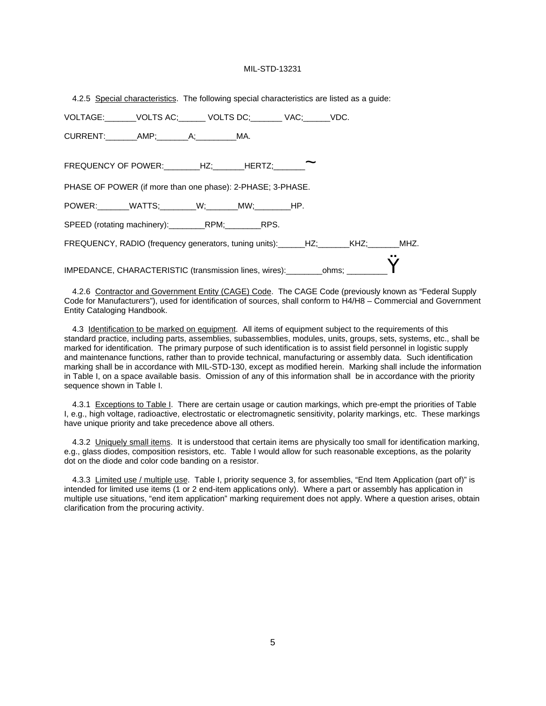|  |  | 4.2.5 Special characteristics. The following special characteristics are listed as a guide: |  |  |  |  |  |
|--|--|---------------------------------------------------------------------------------------------|--|--|--|--|--|
|--|--|---------------------------------------------------------------------------------------------|--|--|--|--|--|

| VOLTAGE: _______VOLTS AC;_______ VOLTS DC;________ VAC;______VDC.                        |  |  |  |
|------------------------------------------------------------------------------------------|--|--|--|
| CURRENT: AMP; A; MA.                                                                     |  |  |  |
| FREQUENCY OF POWER:________HZ;______HERTZ;________                                       |  |  |  |
| PHASE OF POWER (if more than one phase): 2-PHASE; 3-PHASE.                               |  |  |  |
| POWER: _______WATTS; ________W; _______MW; ________HP.                                   |  |  |  |
| SPEED (rotating machinery): ___________RPM; ___________RPS.                              |  |  |  |
| FREQUENCY, RADIO (frequency generators, tuning units): ______HZ; _______KHZ; _______MHZ. |  |  |  |
| IMPEDANCE, CHARACTERISTIC (transmission lines, wires): _______ohms; ________U            |  |  |  |

4.2.6 Contractor and Government Entity (CAGE) Code. The CAGE Code (previously known as "Federal Supply Code for Manufacturers"), used for identification of sources, shall conform to H4/H8 – Commercial and Government Entity Cataloging Handbook.

4.3 Identification to be marked on equipment. All items of equipment subject to the requirements of this standard practice, including parts, assemblies, subassemblies, modules, units, groups, sets, systems, etc., shall be marked for identification. The primary purpose of such identification is to assist field personnel in logistic supply and maintenance functions, rather than to provide technical, manufacturing or assembly data. Such identification marking shall be in accordance with MIL-STD-130, except as modified herein. Marking shall include the information in Table I, on a space available basis. Omission of any of this information shall be in accordance with the priority sequence shown in Table I.

4.3.1 Exceptions to Table I. There are certain usage or caution markings, which pre-empt the priorities of Table I, e.g., high voltage, radioactive, electrostatic or electromagnetic sensitivity, polarity markings, etc. These markings have unique priority and take precedence above all others.

4.3.2 Uniquely small items. It is understood that certain items are physically too small for identification marking, e.g., glass diodes, composition resistors, etc. Table I would allow for such reasonable exceptions, as the polarity dot on the diode and color code banding on a resistor.

4.3.3 Limited use / multiple use. Table I, priority sequence 3, for assemblies, "End Item Application (part of)" is intended for limited use items (1 or 2 end-item applications only). Where a part or assembly has application in multiple use situations, "end item application" marking requirement does not apply. Where a question arises, obtain clarification from the procuring activity.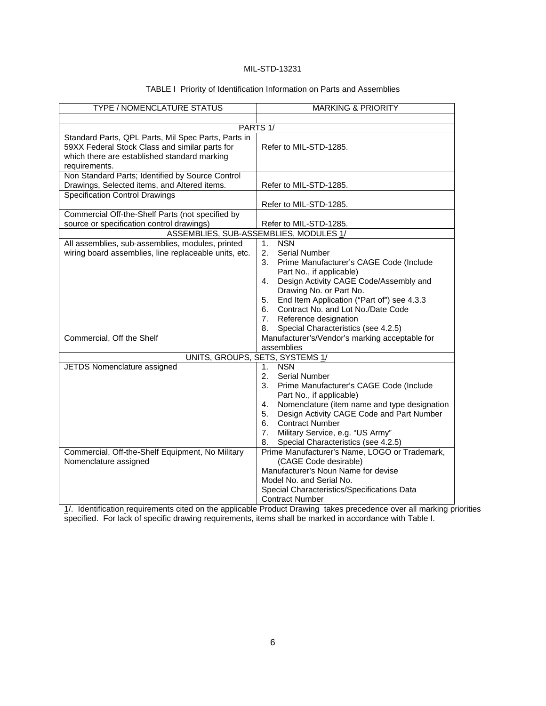| TYPE / NOMENCLATURE STATUS                                                                                                                                             | <b>MARKING &amp; PRIORITY</b>                                                                                                                                                                                                                                                                                                                                                                              |  |  |
|------------------------------------------------------------------------------------------------------------------------------------------------------------------------|------------------------------------------------------------------------------------------------------------------------------------------------------------------------------------------------------------------------------------------------------------------------------------------------------------------------------------------------------------------------------------------------------------|--|--|
|                                                                                                                                                                        |                                                                                                                                                                                                                                                                                                                                                                                                            |  |  |
| PARTS <sub>1/</sub>                                                                                                                                                    |                                                                                                                                                                                                                                                                                                                                                                                                            |  |  |
| Standard Parts, QPL Parts, Mil Spec Parts, Parts in<br>59XX Federal Stock Class and similar parts for<br>which there are established standard marking<br>requirements. | Refer to MIL-STD-1285.                                                                                                                                                                                                                                                                                                                                                                                     |  |  |
| Non Standard Parts; Identified by Source Control<br>Drawings, Selected items, and Altered items.                                                                       | Refer to MIL-STD-1285.                                                                                                                                                                                                                                                                                                                                                                                     |  |  |
| <b>Specification Control Drawings</b>                                                                                                                                  | Refer to MIL-STD-1285.                                                                                                                                                                                                                                                                                                                                                                                     |  |  |
| Commercial Off-the-Shelf Parts (not specified by<br>source or specification control drawings)                                                                          | Refer to MIL-STD-1285.                                                                                                                                                                                                                                                                                                                                                                                     |  |  |
|                                                                                                                                                                        | ASSEMBLIES, SUB-ASSEMBLIES, MODULES 1/                                                                                                                                                                                                                                                                                                                                                                     |  |  |
| All assemblies, sub-assemblies, modules, printed<br>wiring board assemblies, line replaceable units, etc.                                                              | <b>NSN</b><br>1 <sub>1</sub><br>2 <sub>1</sub><br><b>Serial Number</b><br>3.<br>Prime Manufacturer's CAGE Code (Include<br>Part No., if applicable)<br>Design Activity CAGE Code/Assembly and<br>4.<br>Drawing No. or Part No.<br>End Item Application ("Part of") see 4.3.3<br>5.<br>Contract No. and Lot No./Date Code<br>6.<br>Reference designation<br>7.<br>Special Characteristics (see 4.2.5)<br>8. |  |  |
| Commercial, Off the Shelf                                                                                                                                              | Manufacturer's/Vendor's marking acceptable for<br>assemblies                                                                                                                                                                                                                                                                                                                                               |  |  |
| UNITS, GROUPS, SETS, SYSTEMS 1/                                                                                                                                        |                                                                                                                                                                                                                                                                                                                                                                                                            |  |  |
| JETDS Nomenclature assigned                                                                                                                                            | <b>NSN</b><br>1.<br>2.<br><b>Serial Number</b><br>3.<br>Prime Manufacturer's CAGE Code (Include<br>Part No., if applicable)<br>Nomenclature (item name and type designation<br>4.<br>Design Activity CAGE Code and Part Number<br>5.<br><b>Contract Number</b><br>6.<br>7.<br>Military Service, e.g. "US Army"<br>Special Characteristics (see 4.2.5)<br>8.                                                |  |  |
| Commercial, Off-the-Shelf Equipment, No Military<br>Nomenclature assigned                                                                                              | Prime Manufacturer's Name, LOGO or Trademark,<br>(CAGE Code desirable)<br>Manufacturer's Noun Name for devise<br>Model No. and Serial No.<br>Special Characteristics/Specifications Data<br><b>Contract Number</b>                                                                                                                                                                                         |  |  |

### TABLE I Priority of Identification Information on Parts and Assemblies

1/. Identification requirements cited on the applicable Product Drawing takes precedence over all marking priorities specified. For lack of specific drawing requirements, items shall be marked in accordance with Table I.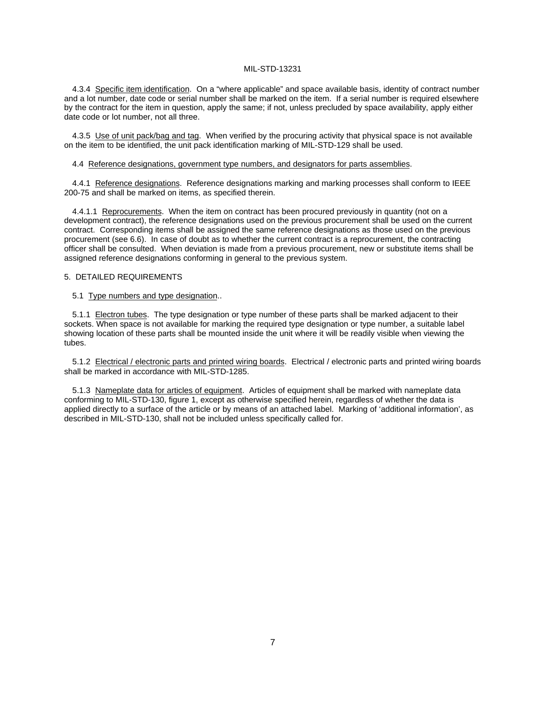4.3.4 Specific item identification. On a "where applicable" and space available basis, identity of contract number and a lot number, date code or serial number shall be marked on the item. If a serial number is required elsewhere by the contract for the item in question, apply the same; if not, unless precluded by space availability, apply either date code or lot number, not all three.

4.3.5 Use of unit pack/bag and tag. When verified by the procuring activity that physical space is not available on the item to be identified, the unit pack identification marking of MIL-STD-129 shall be used.

#### 4.4 Reference designations, government type numbers, and designators for parts assemblies.

4.4.1 Reference designations. Reference designations marking and marking processes shall conform to IEEE 200-75 and shall be marked on items, as specified therein.

4.4.1.1 Reprocurements. When the item on contract has been procured previously in quantity (not on a development contract), the reference designations used on the previous procurement shall be used on the current contract. Corresponding items shall be assigned the same reference designations as those used on the previous procurement (see 6.6). In case of doubt as to whether the current contract is a reprocurement, the contracting officer shall be consulted. When deviation is made from a previous procurement, new or substitute items shall be assigned reference designations conforming in general to the previous system.

#### 5. DETAILED REQUIREMENTS

#### 5.1 Type numbers and type designation..

5.1.1 Electron tubes. The type designation or type number of these parts shall be marked adjacent to their sockets. When space is not available for marking the required type designation or type number, a suitable label showing location of these parts shall be mounted inside the unit where it will be readily visible when viewing the tubes.

5.1.2 Electrical / electronic parts and printed wiring boards. Electrical / electronic parts and printed wiring boards shall be marked in accordance with MIL-STD-1285.

5.1.3 Nameplate data for articles of equipment. Articles of equipment shall be marked with nameplate data conforming to MIL-STD-130, figure 1, except as otherwise specified herein, regardless of whether the data is applied directly to a surface of the article or by means of an attached label. Marking of 'additional information', as described in MIL-STD-130, shall not be included unless specifically called for.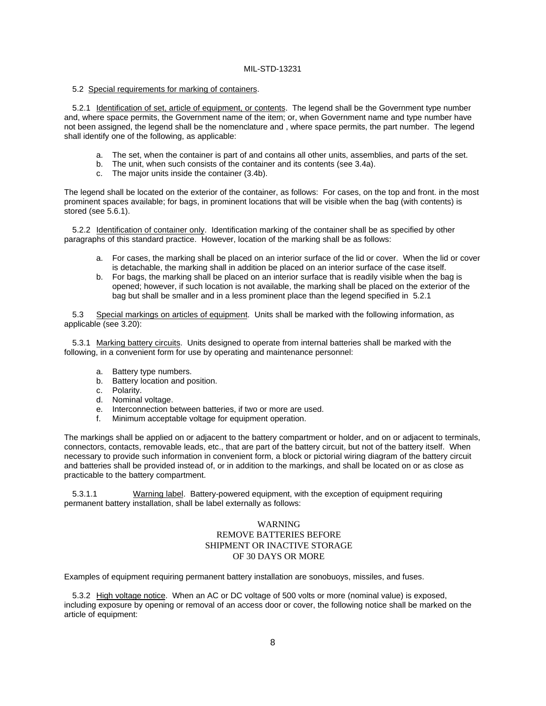#### 5.2 Special requirements for marking of containers.

5.2.1 Identification of set, article of equipment, or contents. The legend shall be the Government type number and, where space permits, the Government name of the item; or, when Government name and type number have not been assigned, the legend shall be the nomenclature and , where space permits, the part number. The legend shall identify one of the following, as applicable:

- a. The set, when the container is part of and contains all other units, assemblies, and parts of the set.
- b. The unit, when such consists of the container and its contents (see 3.4a).
- c. The major units inside the container (3.4b).

The legend shall be located on the exterior of the container, as follows: For cases, on the top and front. in the most prominent spaces available; for bags, in prominent locations that will be visible when the bag (with contents) is stored (see 5.6.1).

5.2.2 Identification of container only. Identification marking of the container shall be as specified by other paragraphs of this standard practice. However, location of the marking shall be as follows:

- a. For cases, the marking shall be placed on an interior surface of the lid or cover. When the lid or cover is detachable, the marking shall in addition be placed on an interior surface of the case itself.
- b. For bags, the marking shall be placed on an interior surface that is readily visible when the bag is opened; however, if such location is not available, the marking shall be placed on the exterior of the bag but shall be smaller and in a less prominent place than the legend specified in 5.2.1

5.3 Special markings on articles of equipment. Units shall be marked with the following information, as applicable (see 3.20):

5.3.1 Marking battery circuits. Units designed to operate from internal batteries shall be marked with the following, in a convenient form for use by operating and maintenance personnel:

- a. Battery type numbers.
- b. Battery location and position.
- c. Polarity.
- d. Nominal voltage.
- e. Interconnection between batteries, if two or more are used.<br>f. Minimum acceptable voltage for equipment operation.
- Minimum acceptable voltage for equipment operation.

The markings shall be applied on or adjacent to the battery compartment or holder, and on or adjacent to terminals, connectors, contacts, removable leads, etc., that are part of the battery circuit, but not of the battery itself. When necessary to provide such information in convenient form, a block or pictorial wiring diagram of the battery circuit and batteries shall be provided instead of, or in addition to the markings, and shall be located on or as close as practicable to the battery compartment.

5.3.1.1 Warning label. Battery-powered equipment, with the exception of equipment requiring permanent battery installation, shall be label externally as follows:

#### WARNING REMOVE BATTERIES BEFORE SHIPMENT OR INACTIVE STORAGE OF 30 DAYS OR MORE

Examples of equipment requiring permanent battery installation are sonobuoys, missiles, and fuses.

5.3.2 High voltage notice. When an AC or DC voltage of 500 volts or more (nominal value) is exposed, including exposure by opening or removal of an access door or cover, the following notice shall be marked on the article of equipment: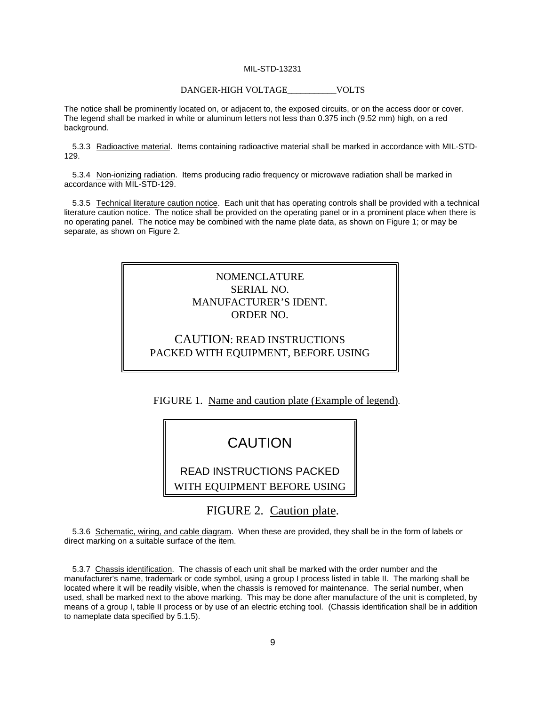#### DANGER-HIGH VOLTAGE\_\_\_\_\_\_\_\_\_\_\_VOLTS

The notice shall be prominently located on, or adjacent to, the exposed circuits, or on the access door or cover. The legend shall be marked in white or aluminum letters not less than 0.375 inch (9.52 mm) high, on a red background.

5.3.3 Radioactive material. Items containing radioactive material shall be marked in accordance with MIL-STD-129.

5.3.4 Non-ionizing radiation. Items producing radio frequency or microwave radiation shall be marked in accordance with MIL-STD-129.

5.3.5 Technical literature caution notice. Each unit that has operating controls shall be provided with a technical literature caution notice. The notice shall be provided on the operating panel or in a prominent place when there is no operating panel. The notice may be combined with the name plate data, as shown on Figure 1; or may be separate, as shown on Figure 2.

### NOMENCLATURE SERIAL NO. MANUFACTURER'S IDENT. ORDER NO.

### CAUTION: READ INSTRUCTIONS PACKED WITH EQUIPMENT, BEFORE USING

FIGURE 1. Name and caution plate (Example of legend).

## CAUTION

READ INSTRUCTIONS PACKED

WITH EQUIPMENT BEFORE USING

FIGURE 2. Caution plate.

5.3.6 Schematic, wiring, and cable diagram. When these are provided, they shall be in the form of labels or direct marking on a suitable surface of the item.

5.3.7 Chassis identification. The chassis of each unit shall be marked with the order number and the manufacturer's name, trademark or code symbol, using a group I process listed in table II. The marking shall be located where it will be readily visible, when the chassis is removed for maintenance. The serial number, when used, shall be marked next to the above marking. This may be done after manufacture of the unit is completed, by means of a group I, table II process or by use of an electric etching tool. (Chassis identification shall be in addition to nameplate data specified by 5.1.5).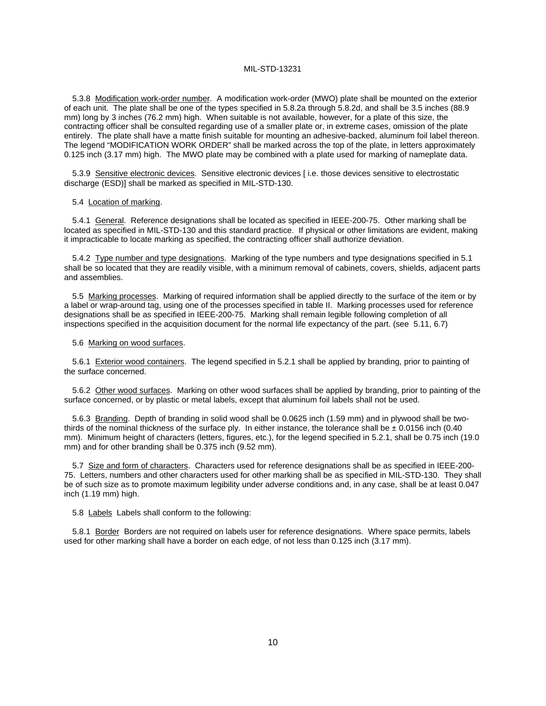5.3.8 Modification work-order number. A modification work-order (MWO) plate shall be mounted on the exterior of each unit. The plate shall be one of the types specified in 5.8.2a through 5.8.2d, and shall be 3.5 inches (88.9 mm) long by 3 inches (76.2 mm) high. When suitable is not available, however, for a plate of this size, the contracting officer shall be consulted regarding use of a smaller plate or, in extreme cases, omission of the plate entirely. The plate shall have a matte finish suitable for mounting an adhesive-backed, aluminum foil label thereon. The legend "MODIFICATION WORK ORDER" shall be marked across the top of the plate, in letters approximately 0.125 inch (3.17 mm) high. The MWO plate may be combined with a plate used for marking of nameplate data.

5.3.9 Sensitive electronic devices. Sensitive electronic devices [ i.e. those devices sensitive to electrostatic discharge (ESD)] shall be marked as specified in MIL-STD-130.

#### 5.4 Location of marking.

5.4.1 General. Reference designations shall be located as specified in IEEE-200-75. Other marking shall be located as specified in MIL-STD-130 and this standard practice. If physical or other limitations are evident, making it impracticable to locate marking as specified, the contracting officer shall authorize deviation.

5.4.2 Type number and type designations. Marking of the type numbers and type designations specified in 5.1 shall be so located that they are readily visible, with a minimum removal of cabinets, covers, shields, adjacent parts and assemblies.

5.5 Marking processes. Marking of required information shall be applied directly to the surface of the item or by a label or wrap-around tag, using one of the processes specified in table II. Marking processes used for reference designations shall be as specified in IEEE-200-75. Marking shall remain legible following completion of all inspections specified in the acquisition document for the normal life expectancy of the part. (see 5.11, 6.7)

#### 5.6 Marking on wood surfaces.

5.6.1 Exterior wood containers. The legend specified in 5.2.1 shall be applied by branding, prior to painting of the surface concerned.

5.6.2 Other wood surfaces. Marking on other wood surfaces shall be applied by branding, prior to painting of the surface concerned, or by plastic or metal labels, except that aluminum foil labels shall not be used.

5.6.3 Branding. Depth of branding in solid wood shall be 0.0625 inch (1.59 mm) and in plywood shall be twothirds of the nominal thickness of the surface ply. In either instance, the tolerance shall be  $\pm$  0.0156 inch (0.40) mm). Minimum height of characters (letters, figures, etc.), for the legend specified in 5.2.1, shall be 0.75 inch (19.0) mm) and for other branding shall be 0.375 inch (9.52 mm).

5.7 Size and form of characters. Characters used for reference designations shall be as specified in IEEE-200- 75. Letters, numbers and other characters used for other marking shall be as specified in MIL-STD-130. They shall be of such size as to promote maximum legibility under adverse conditions and, in any case, shall be at least 0.047 inch (1.19 mm) high.

#### 5.8 Labels Labels shall conform to the following:

5.8.1 Border Borders are not required on labels user for reference designations. Where space permits, labels used for other marking shall have a border on each edge, of not less than 0.125 inch (3.17 mm).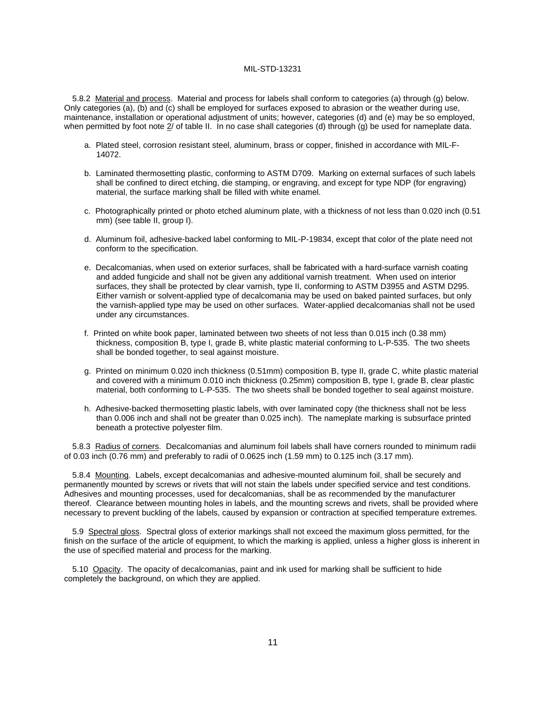5.8.2 Material and process. Material and process for labels shall conform to categories (a) through (g) below. Only categories (a), (b) and (c) shall be employed for surfaces exposed to abrasion or the weather during use, maintenance, installation or operational adjustment of units; however, categories (d) and (e) may be so employed, when permitted by foot note 2/ of table II. In no case shall categories (d) through (g) be used for nameplate data.

- a. Plated steel, corrosion resistant steel, aluminum, brass or copper, finished in accordance with MIL-F-14072.
- b. Laminated thermosetting plastic, conforming to ASTM D709. Marking on external surfaces of such labels shall be confined to direct etching, die stamping, or engraving, and except for type NDP (for engraving) material, the surface marking shall be filled with white enamel.
- c. Photographically printed or photo etched aluminum plate, with a thickness of not less than 0.020 inch (0.51 mm) (see table II, group I).
- d. Aluminum foil, adhesive-backed label conforming to MIL-P-19834, except that color of the plate need not conform to the specification.
- e. Decalcomanias, when used on exterior surfaces, shall be fabricated with a hard-surface varnish coating and added fungicide and shall not be given any additional varnish treatment. When used on interior surfaces, they shall be protected by clear varnish, type II, conforming to ASTM D3955 and ASTM D295. Either varnish or solvent-applied type of decalcomania may be used on baked painted surfaces, but only the varnish-applied type may be used on other surfaces. Water-applied decalcomanias shall not be used under any circumstances.
- f. Printed on white book paper, laminated between two sheets of not less than 0.015 inch (0.38 mm) thickness, composition B, type I, grade B, white plastic material conforming to L-P-535. The two sheets shall be bonded together, to seal against moisture.
- g. Printed on minimum 0.020 inch thickness (0.51mm) composition B, type II, grade C, white plastic material and covered with a minimum 0.010 inch thickness (0.25mm) composition B, type I, grade B, clear plastic material, both conforming to L-P-535. The two sheets shall be bonded together to seal against moisture.
- h. Adhesive-backed thermosetting plastic labels, with over laminated copy (the thickness shall not be less than 0.006 inch and shall not be greater than 0.025 inch). The nameplate marking is subsurface printed beneath a protective polyester film.

5.8.3 Radius of corners. Decalcomanias and aluminum foil labels shall have corners rounded to minimum radii of 0.03 inch (0.76 mm) and preferably to radii of 0.0625 inch (1.59 mm) to 0.125 inch (3.17 mm).

5.8.4 Mounting. Labels, except decalcomanias and adhesive-mounted aluminum foil, shall be securely and permanently mounted by screws or rivets that will not stain the labels under specified service and test conditions. Adhesives and mounting processes, used for decalcomanias, shall be as recommended by the manufacturer thereof. Clearance between mounting holes in labels, and the mounting screws and rivets, shall be provided where necessary to prevent buckling of the labels, caused by expansion or contraction at specified temperature extremes.

5.9 Spectral gloss. Spectral gloss of exterior markings shall not exceed the maximum gloss permitted, for the finish on the surface of the article of equipment, to which the marking is applied, unless a higher gloss is inherent in the use of specified material and process for the marking.

5.10 Opacity. The opacity of decalcomanias, paint and ink used for marking shall be sufficient to hide completely the background, on which they are applied.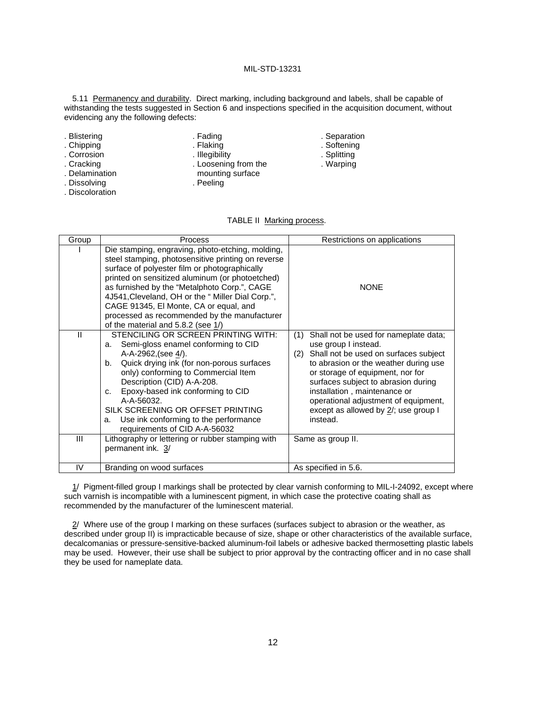5.11 Permanency and durability. Direct marking, including background and labels, shall be capable of withstanding the tests suggested in Section 6 and inspections specified in the acquisition document, without evidencing any the following defects:

- 
- . Corrosion . Illegibility . Illegibility . Splitting
- 
- . Delamination mounting surface
- . Dissolving . **Dissolving** . Peeling
- . Discoloration

TABLE II Marking process.

| Group | <b>Process</b>                                                                                                                                                                                                                                                                                                                                                                                                                                 | Restrictions on applications                                                                                                                                                                                                                                                                                                                                            |
|-------|------------------------------------------------------------------------------------------------------------------------------------------------------------------------------------------------------------------------------------------------------------------------------------------------------------------------------------------------------------------------------------------------------------------------------------------------|-------------------------------------------------------------------------------------------------------------------------------------------------------------------------------------------------------------------------------------------------------------------------------------------------------------------------------------------------------------------------|
|       | Die stamping, engraving, photo-etching, molding,<br>steel stamping, photosensitive printing on reverse<br>surface of polyester film or photographically<br>printed on sensitized aluminum (or photoetched)<br>as furnished by the "Metalphoto Corp.", CAGE<br>4J541, Cleveland, OH or the "Miller Dial Corp.",<br>CAGE 91345, El Monte, CA or equal, and<br>processed as recommended by the manufacturer<br>of the material and 5.8.2 (see 1/) | <b>NONE</b>                                                                                                                                                                                                                                                                                                                                                             |
| Ш     | STENCILING OR SCREEN PRINTING WITH:<br>Semi-gloss enamel conforming to CID<br>а.<br>A-A-2962, (see $4/$ ).<br>Quick drying ink (for non-porous surfaces<br>b.<br>only) conforming to Commercial Item<br>Description (CID) A-A-208.<br>Epoxy-based ink conforming to CID<br>C.<br>A-A-56032.<br>SILK SCREENING OR OFFSET PRINTING<br>Use ink conforming to the performance<br>a.<br>requirements of CID A-A-56032                               | (1)<br>Shall not be used for nameplate data;<br>use group I instead.<br>Shall not be used on surfaces subject<br>(2)<br>to abrasion or the weather during use<br>or storage of equipment, nor for<br>surfaces subject to abrasion during<br>installation, maintenance or<br>operational adjustment of equipment,<br>except as allowed by $2/$ ; use group I<br>instead. |
| Ш     | Lithography or lettering or rubber stamping with<br>permanent ink. 3/                                                                                                                                                                                                                                                                                                                                                                          | Same as group II.                                                                                                                                                                                                                                                                                                                                                       |
| IV    | Branding on wood surfaces                                                                                                                                                                                                                                                                                                                                                                                                                      | As specified in 5.6.                                                                                                                                                                                                                                                                                                                                                    |

1/ Pigment-filled group I markings shall be protected by clear varnish conforming to MIL-I-24092, except where such varnish is incompatible with a luminescent pigment, in which case the protective coating shall as recommended by the manufacturer of the luminescent material.

2/ Where use of the group I marking on these surfaces (surfaces subject to abrasion or the weather, as described under group II) is impracticable because of size, shape or other characteristics of the available surface, decalcomanias or pressure-sensitive-backed aluminum-foil labels or adhesive backed thermosetting plastic labels may be used. However, their use shall be subject to prior approval by the contracting officer and in no case shall they be used for nameplate data.

- . Blistering . The state of the state of the state of the state of the state of the state of the state of the state of the state of the state of the state of the state of the state of the state of the state of the state of
- . Chipping . Flaking . Flaking . Softening . Softening . Softening . Softening . Softening . Softening . Softening . Softening . Softening . Softening . Softening . Softening . Softening . Softening . Softening . Softening
- . Cracking . Loosening from the . Warping . Warping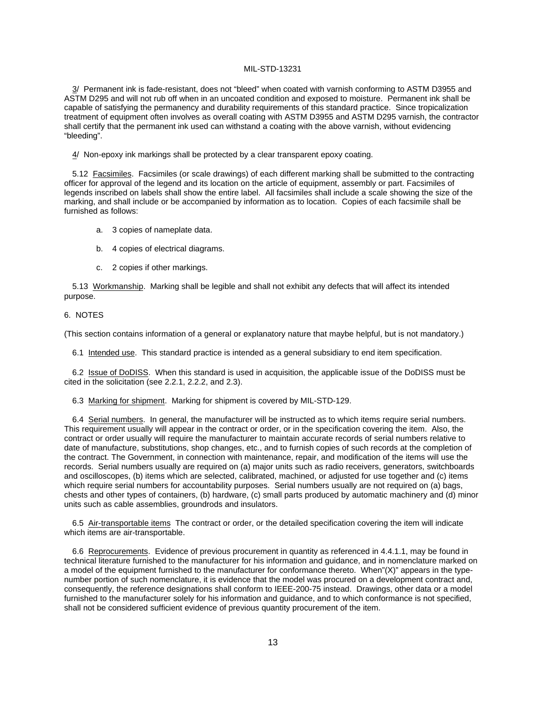3/ Permanent ink is fade-resistant, does not "bleed" when coated with varnish conforming to ASTM D3955 and ASTM D295 and will not rub off when in an uncoated condition and exposed to moisture. Permanent ink shall be capable of satisfying the permanency and durability requirements of this standard practice. Since tropicalization treatment of equipment often involves as overall coating with ASTM D3955 and ASTM D295 varnish, the contractor shall certify that the permanent ink used can withstand a coating with the above varnish, without evidencing "bleeding".

4/ Non-epoxy ink markings shall be protected by a clear transparent epoxy coating.

5.12 Facsimiles. Facsimiles (or scale drawings) of each different marking shall be submitted to the contracting officer for approval of the legend and its location on the article of equipment, assembly or part. Facsimiles of legends inscribed on labels shall show the entire label. All facsimiles shall include a scale showing the size of the marking, and shall include or be accompanied by information as to location. Copies of each facsimile shall be furnished as follows:

- a. 3 copies of nameplate data.
- b. 4 copies of electrical diagrams.
- c. 2 copies if other markings.

5.13 Workmanship. Marking shall be legible and shall not exhibit any defects that will affect its intended purpose.

#### 6. NOTES

(This section contains information of a general or explanatory nature that maybe helpful, but is not mandatory.)

6.1 Intended use. This standard practice is intended as a general subsidiary to end item specification.

6.2 Issue of DoDISS. When this standard is used in acquisition, the applicable issue of the DoDISS must be cited in the solicitation (see 2.2.1, 2.2.2, and 2.3).

6.3 Marking for shipment. Marking for shipment is covered by MIL-STD-129.

6.4 Serial numbers. In general, the manufacturer will be instructed as to which items require serial numbers. This requirement usually will appear in the contract or order, or in the specification covering the item. Also, the contract or order usually will require the manufacturer to maintain accurate records of serial numbers relative to date of manufacture, substitutions, shop changes, etc., and to furnish copies of such records at the completion of the contract. The Government, in connection with maintenance, repair, and modification of the items will use the records. Serial numbers usually are required on (a) major units such as radio receivers, generators, switchboards and oscilloscopes, (b) items which are selected, calibrated, machined, or adjusted for use together and (c) items which require serial numbers for accountability purposes. Serial numbers usually are not required on (a) bags, chests and other types of containers, (b) hardware, (c) small parts produced by automatic machinery and (d) minor units such as cable assemblies, groundrods and insulators.

6.5 Air-transportable items The contract or order, or the detailed specification covering the item will indicate which items are air-transportable.

6.6 Reprocurements. Evidence of previous procurement in quantity as referenced in 4.4.1.1, may be found in technical literature furnished to the manufacturer for his information and guidance, and in nomenclature marked on a model of the equipment furnished to the manufacturer for conformance thereto. When"(X)" appears in the typenumber portion of such nomenclature, it is evidence that the model was procured on a development contract and, consequently, the reference designations shall conform to IEEE-200-75 instead. Drawings, other data or a model furnished to the manufacturer solely for his information and guidance, and to which conformance is not specified, shall not be considered sufficient evidence of previous quantity procurement of the item.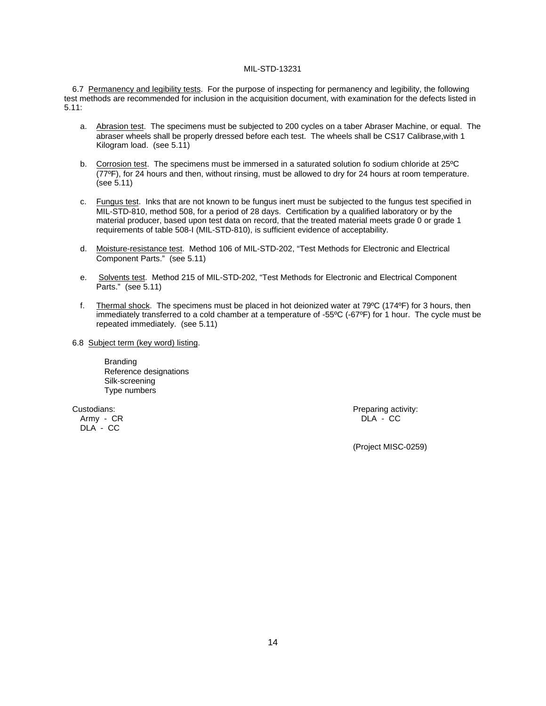6.7 Permanency and legibility tests. For the purpose of inspecting for permanency and legibility, the following test methods are recommended for inclusion in the acquisition document, with examination for the defects listed in 5.11:

- a. Abrasion test. The specimens must be subjected to 200 cycles on a taber Abraser Machine, or equal. The abraser wheels shall be properly dressed before each test. The wheels shall be CS17 Calibrase,with 1 Kilogram load. (see 5.11)
- b. Corrosion test. The specimens must be immersed in a saturated solution fo sodium chloride at 25ºC (77ºF), for 24 hours and then, without rinsing, must be allowed to dry for 24 hours at room temperature. (see 5.11)
- c. Fungus test. Inks that are not known to be fungus inert must be subjected to the fungus test specified in MIL-STD-810, method 508, for a period of 28 days. Certification by a qualified laboratory or by the material producer, based upon test data on record, that the treated material meets grade 0 or grade 1 requirements of table 508-I (MIL-STD-810), is sufficient evidence of acceptability.
- d. Moisture-resistance test. Method 106 of MIL-STD-202, "Test Methods for Electronic and Electrical Component Parts." (see 5.11)
- e. Solvents test. Method 215 of MIL-STD-202, "Test Methods for Electronic and Electrical Component Parts." (see 5.11)
- f. Thermal shock. The specimens must be placed in hot deionized water at 79ºC (174ºF) for 3 hours, then immediately transferred to a cold chamber at a temperature of -55ºC (-67ºF) for 1 hour. The cycle must be repeated immediately. (see 5.11)
- 6.8 Subject term (key word) listing.

Branding Reference designations Silk-screening Type numbers

DLA - CC

Custodians: Preparing activity: Army - CR DLA - CC

(Project MISC-0259)